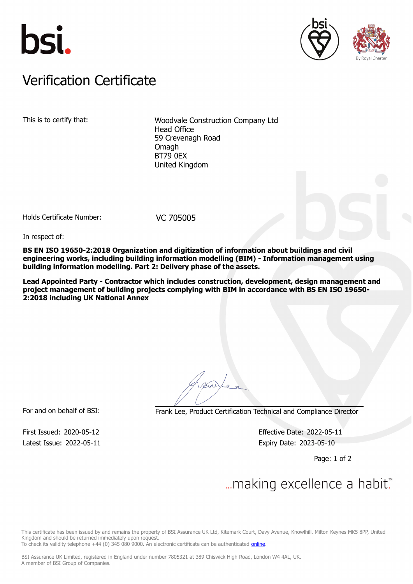





## Verification Certificate Verification Certificate

This is to certify that: Woodvale Construction Company Ltd Head Office 59 Crevenagh Road Omagh BT79 0EX United Kingdom

Holds Certificate Number: VC 705005

In respect of:

**BS EN ISO 19650-2:2018 Organization and digitization of information about buildings and civil engineering works, including building information modelling (BIM) - Information management using building information modelling. Part 2: Delivery phase of the assets.**

**Lead Appointed Party - Contractor which includes construction, development, design management and project management of building projects complying with BIM in accordance with BS EN ISO 19650- 2:2018 including UK National Annex**

For and on behalf of BSI: Frank Lee, Product Certification Technical and Compliance Director

Latest Issue: 2022-05-11 **Expiry Date: 2023-05-10** 

First Issued: 2020-05-12 Effective Date: 2022-05-11

Page: 1 of 2

## ... making excellence a habit.

This certificate has been issued by and remains the property of BSI Assurance UK Ltd, Kitemark Court, Davy Avenue, Knowlhill, Milton Keynes MK5 8PP, United Kingdom and should be returned immediately upon request.

To check its validity telephone +44 (0) 345 080 9000. An electronic certificate can be authenticated [online](https://pgplus.bsigroup.com/CertificateValidation/CertificateValidator.aspx?CertificateNumber=VC+705005&ReIssueDate=11%2f05%2f2022&Template=uk).